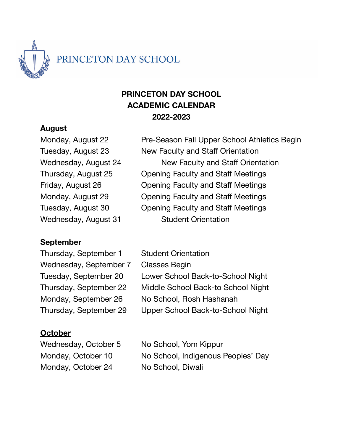

# **PRINCETON DAY SCHOOL ACADEMIC CALENDAR 2022-2023**

#### **August**

Monday, August 22 **Pre-Season Fall Upper School Athletics Begin** Tuesday, August 23 New Faculty and Staff Orientation Wednesday, August 24 New Faculty and Staff Orientation Thursday, August 25 Opening Faculty and Staff Meetings Friday, August 26 Opening Faculty and Staff Meetings Monday, August 29 Opening Faculty and Staff Meetings Tuesday, August 30 Opening Faculty and Staff Meetings Wednesday, August 31 Student Orientation

### **September**

Thursday, September 1 Student Orientation Wednesday, September 7 Classes Begin

Tuesday, September 20 Lower School Back-to-School Night Thursday, September 22 Middle School Back-to School Night Monday, September 26 No School, Rosh Hashanah Thursday, September 29 Upper School Back-to-School Night

### **October**

Monday, October 24 No School, Diwali

Wednesday, October 5 No School, Yom Kippur Monday, October 10 No School, Indigenous Peoples' Day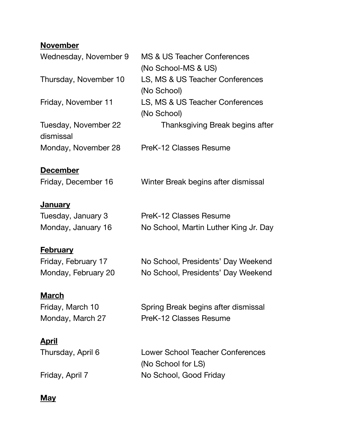# **November**

| Wednesday, November 9             | MS & US Teacher Conferences<br>(No School-MS & US)            |
|-----------------------------------|---------------------------------------------------------------|
| Thursday, November 10             | LS, MS & US Teacher Conferences<br>(No School)                |
| Friday, November 11               | LS, MS & US Teacher Conferences<br>(No School)                |
| Tuesday, November 22<br>dismissal | Thanksgiving Break begins after                               |
| Monday, November 28               | PreK-12 Classes Resume                                        |
| <b>December</b>                   |                                                               |
| Friday, December 16               | Winter Break begins after dismissal                           |
| <u>January</u>                    |                                                               |
| Tuesday, January 3                | PreK-12 Classes Resume                                        |
| Monday, January 16                | No School, Martin Luther King Jr. Day                         |
| <u>February</u>                   |                                                               |
| Friday, February 17               | No School, Presidents' Day Weekend                            |
| Monday, February 20               | No School, Presidents' Day Weekend                            |
| <u>March</u>                      |                                                               |
| Friday, March 10                  | Spring Break begins after dismissal                           |
| Monday, March 27                  | PreK-12 Classes Resume                                        |
| <u>April</u>                      |                                                               |
| Thursday, April 6                 | <b>Lower School Teacher Conferences</b><br>(No School for LS) |
| Friday, April 7                   | No School, Good Friday                                        |
|                                   |                                                               |

## **May**